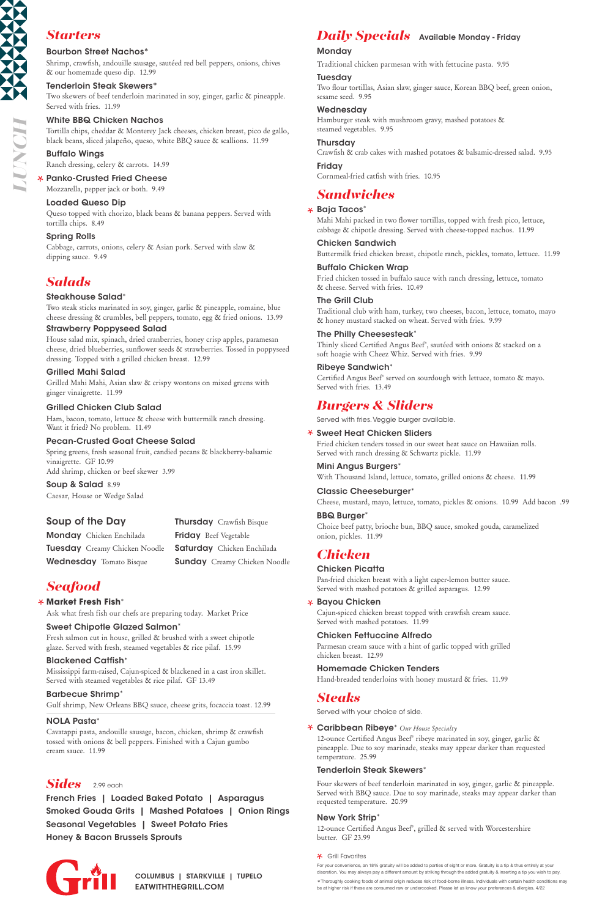### **Market Fresh Fish**\*

Ask what fresh fish our chefs are preparing today. Market Price

### Sweet Chipotle Glazed Salmon\*

Fresh salmon cut in house, grilled & brushed with a sweet chipotle glaze. Served with fresh, steamed vegetables & rice pilaf. 15.99

### Blackened Catfish\*

Mississippi farm-raised, Cajun-spiced & blackened in a cast iron skillet.

Served with steamed vegetables & rice pilaf. GF 13.49

### Barbecue Shrimp\*

Gulf shrimp, New Orleans BBQ sauce, cheese grits, focaccia toast. 12.99

### NOLA Pasta\*

Cavatappi pasta, andouille sausage, bacon, chicken, shrimp & crawfish tossed with onions & bell peppers. Finished with a Cajun gumbo cream sauce. 11.99

# *Seafood*

### Bourbon Street Nachos\*

Shrimp, crawfish, andouille sausage, sautéed red bell peppers, onions, chives & our homemade queso dip. 12.99

### Tenderloin Steak Skewers\*

Two skewers of beef tenderloin marinated in soy, ginger, garlic & pineapple. Served with fries. 11.99

### White BBQ Chicken Nachos

Tortilla chips, cheddar & Monterey Jack cheeses, chicken breast, pico de gallo, black beans, sliced jalapeño, queso, white BBQ sauce & scallions. 11.99

### Buffalo Wings

Ranch dressing, celery & carrots. 14.99

### Panko-Crusted Fried Cheese

Mozzarella, pepper jack or both. 9.49

### Loaded Queso Dip

Queso topped with chorizo, black beans & banana peppers. Served with tortilla chips. 8.49

### Spring Rolls

Cabbage, carrots, onions, celery & Asian pork. Served with slaw & dipping sauce. 9.49

# *Starters*

### Baja Tacos\*

Mahi Mahi packed in two flower tortillas, topped with fresh pico, lettuce, cabbage & chipotle dressing. Served with cheese-topped nachos. 11.99

### Chicken Sandwich

Buttermilk fried chicken breast, chipotle ranch, pickles, tomato, lettuce. 11.99

### Buffalo Chicken Wrap

Fried chicken tossed in buffalo sauce with ranch dressing, lettuce, tomato & cheese. Served with fries. 10.49

### The Grill Club

Traditional club with ham, turkey, two cheeses, bacon, lettuce, tomato, mayo & honey mustard stacked on wheat. Served with fries. 9.99

### The Philly Cheesesteak\*

Thinly sliced Certified Angus Beef® , sautéed with onions & stacked on a soft hoagie with Cheez Whiz. Served with fries. 9.99

### Ribeye Sandwich\*

Certified Angus Beef® served on sourdough with lettuce, tomato & mayo. Served with fries. 13.49

# *Sandwiches*

Served with fries. Veggie burger available.

### Sweet Heat Chicken Sliders

Fried chicken tenders tossed in our sweet heat sauce on Hawaiian rolls. Served with ranch dressing & Schwartz pickle. 11.99

### Mini Angus Burgers\*

With Thousand Island, lettuce, tomato, grilled onions & cheese. 11.99

### Classic Cheeseburger\*

Cheese, mustard, mayo, lettuce, tomato, pickles & onions. 10.99 Add bacon .99

### BBQ Burger\*

Choice beef patty, brioche bun, BBQ sauce, smoked gouda, caramelized onion, pickles. 11.99

Monday Chicken Enchilada **Tuesday** Creamy Chicken Noodle Wednesday Tomato Bisque

**Thursday** Crawfish Bisque **Friday** Beef Vegetable Saturday Chicken Enchilada **Sunday** Creamy Chicken Noodle

# *Burgers & Sliders*

### Chicken Picatta

Pan-fried chicken breast with a light caper-lemon butter sauce. Served with mashed potatoes & grilled asparagus. 12.99

### Bayou Chicken

Cajun-spiced chicken breast topped with crawfish cream sauce. Served with mashed potatoes. 11.99

### Chicken Fettuccine Alfredo

Parmesan cream sauce with a hint of garlic topped with grilled chicken breast. 12.99

### Homemade Chicken Tenders

Hand-breaded tenderloins with honey mustard & fries. 11.99

# *Chicken*

Served with your choice of side.

### Caribbean Ribeye\* *Our House Specialty*

12-ounce Certified Angus Beef® ribeye marinated in soy, ginger, garlic & pineapple. Due to soy marinade, steaks may appear darker than requested temperature. 25.99

### Tenderloin Steak Skewers\*

Four skewers of beef tenderloin marinated in soy, ginger, garlic & pineapple. Served with BBQ sauce. Due to soy marinade, steaks may appear darker than requested temperature. 20.99

### New York Strip\*

12-ounce Certified Angus Beef® , grilled & served with Worcestershire butter. GF 23.99

### **\*** Grill Favorites

# *Steaks*

French Fries | Loaded Baked Potato | Asparagus Smoked Gouda Grits | Mashed Potatoes | Onion Rings Seasonal Vegetables | Sweet Potato Fries Honey & Bacon Brussels Sprouts



# *Sides* 2.99 each

*LUNCH*

For your convenience, an 18% gratuity will be added to parties of eight or more. Gratuity is a tip & thus entirely at your discretion. You may always pay a different amount by striking through the added gratuity & inserting a tip you wish to pay.

\*Thoroughly cooking foods of animal origin reduces risk of food-borne illness. Individuals with certain health conditions may be at higher risk if these are consumed raw or undercooked. Please let us know your preferences & allergies. 4/22

EATWITHTHEGRILL.COM COLUMBUS | STARKVILLE | TUPELO

### Steakhouse Salad\*

Two steak sticks marinated in soy, ginger, garlic & pineapple, romaine, blue cheese dressing & crumbles, bell peppers, tomato, egg & fried onions. 13.99

### Strawberry Poppyseed Salad

House salad mix, spinach, dried cranberries, honey crisp apples, paramesan cheese, dried blueberries, sunflower seeds & strawberries. Tossed in poppyseed dressing. Topped with a grilled chicken breast. 12.99

### Grilled Mahi Salad

Grilled Mahi Mahi, Asian slaw & crispy wontons on mixed greens with ginger vinaigrette. 11.99

### Grilled Chicken Club Salad

Ham, bacon, tomato, lettuce & cheese with buttermilk ranch dressing. Want it fried? No problem. 11.49

### Pecan-Crusted Goat Cheese Salad

Spring greens, fresh seasonal fruit, candied pecans & blackberry-balsamic vinaigrette. GF 10.99 Add shrimp, chicken or beef skewer 3.99

Soup & Salad 8.99 Caesar, House or Wedge Salad

# *Salads*

### Soup of the Day

# *Daily Specials* Available Monday - Friday

### **Monday**

Traditional chicken parmesan with with fettucine pasta. 9.95

### **Tuesday**

Two flour tortillas, Asian slaw, ginger sauce, Korean BBQ beef, green onion, sesame seed. 9.95

### Wednesday

Hamburger steak with mushroom gravy, mashed potatoes & steamed vegetables. 9.95

### Thursday

Crawfish & crab cakes with mashed potatoes & balsamic-dressed salad. 9.95

## **Friday**

Cornmeal-fried catfish with fries. 10.95